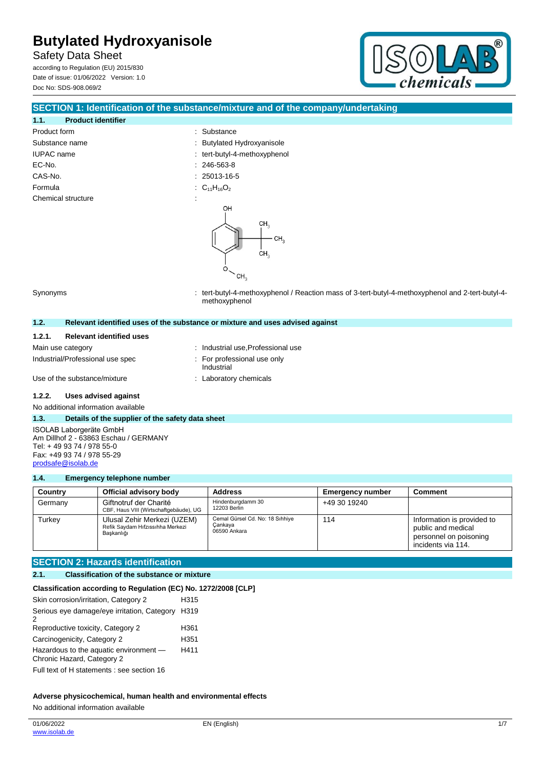Safety Data Sheet according to Regulation (EU) 2015/830

Date of issue: 01/06/2022 Version: 1.0 Doc No: SDS-908.069/2



## **SECTION 1: Identification of the substance/mixture and of the company/undertaking**

# **1.1. Product identifier** Product form  $\qquad \qquad$ : Substance Substance name  $\qquad \qquad$ : Butylated Hydroxyanisole IUPAC name  $\qquad \qquad :$  tert-butyl-4-methoxyphenol EC-No. : 246-563-8 CAS-No. : 25013-16-5 Formula : C<sub>11</sub>H<sub>16</sub>O<sub>2</sub> Chemical structure



Synonyms : tert-butyl-4-methoxyphenol / Reaction mass of 3-tert-butyl-4-methoxyphenol and 2-tert-butyl-4 methoxyphenol

# **1.2. Relevant identified uses of the substance or mixture and uses advised against**

## **1.2.1. Relevant identified uses**

Industrial/Professional use spec : For professional use only

- 
- Main use category **Main use category : Industrial use, Professional use** 
	- Industrial
- Use of the substance/mixture : Laboratory chemicals

## **1.2.2. Uses advised against**

No additional information available

#### **1.3. Details of the supplier of the safety data sheet**

ISOLAB Laborgeräte GmbH Am Dillhof 2 - 63863 Eschau / GERMANY Tel: + 49 93 74 / 978 55-0 Fax: +49 93 74 / 978 55-29 [prodsafe@isolab.de](mailto:prodsafe@isolab.de)

### **1.4. Emergency telephone number**

| Country | Official advisory body                                                        | <b>Address</b>                                             | <b>Emergency number</b> | <b>Comment</b>                                                                                   |
|---------|-------------------------------------------------------------------------------|------------------------------------------------------------|-------------------------|--------------------------------------------------------------------------------------------------|
| Germany | Giftnotruf der Charité<br>CBF, Haus VIII (Wirtschaftgebäude), UG              | Hindenburgdamm 30<br>12203 Berlin                          | +49 30 19240            |                                                                                                  |
| Turkev  | Ulusal Zehir Merkezi (UZEM)<br>Refik Saydam Hıfzıssıhha Merkezi<br>Baskanlığı | Cemal Gürsel Cd. No: 18 Sıhhiye<br>Cankaya<br>06590 Ankara | 114                     | Information is provided to<br>public and medical<br>personnel on poisoning<br>incidents via 114. |

## **SECTION 2: Hazards identification**

| <b>Classification of the substance or mixture</b><br>2.1. |
|-----------------------------------------------------------|
|-----------------------------------------------------------|

| Classification according to Regulation (EC) No. 1272/2008 [CLP]      |      |
|----------------------------------------------------------------------|------|
| Skin corrosion/irritation, Category 2                                | H315 |
| Serious eye damage/eye irritation, Category<br>2                     | H319 |
| Reproductive toxicity, Category 2                                    | H361 |
| Carcinogenicity, Category 2                                          | H351 |
| Hazardous to the aquatic environment -<br>Chronic Hazard, Category 2 | H411 |
| Full text of H statements : see section 16                           |      |

## **Adverse physicochemical, human health and environmental effects**

No additional information available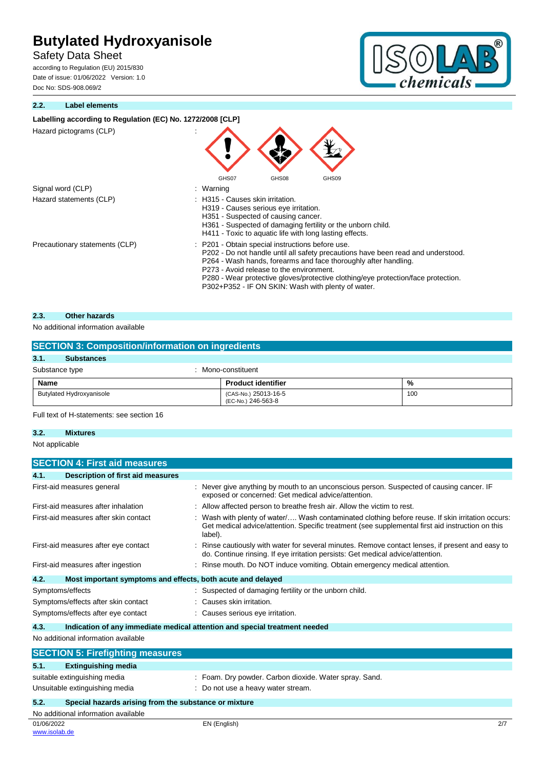Safety Data Sheet

according to Regulation (EU) 2015/830 Date of issue: 01/06/2022 Version: 1.0 Doc No: SDS-908.069/2

## **2.2. Label elements**



| Labelling according to Regulation (EC) No. 1272/2008 [CLP] |                                                                                                                                                                                                                                                                                                                                                                                                |
|------------------------------------------------------------|------------------------------------------------------------------------------------------------------------------------------------------------------------------------------------------------------------------------------------------------------------------------------------------------------------------------------------------------------------------------------------------------|
| Hazard pictograms (CLP)                                    |                                                                                                                                                                                                                                                                                                                                                                                                |
| Signal word (CLP)                                          | GHS07<br>GHS08<br>GHS09<br>: Warning                                                                                                                                                                                                                                                                                                                                                           |
| Hazard statements (CLP)                                    | H315 - Causes skin irritation.<br>H319 - Causes serious eye irritation.<br>H351 - Suspected of causing cancer.<br>H361 - Suspected of damaging fertility or the unborn child.<br>H411 - Toxic to aquatic life with long lasting effects.                                                                                                                                                       |
| Precautionary statements (CLP)                             | : P201 - Obtain special instructions before use.<br>P202 - Do not handle until all safety precautions have been read and understood.<br>P264 - Wash hands, forearms and face thoroughly after handling.<br>P273 - Avoid release to the environment.<br>P280 - Wear protective gloves/protective clothing/eye protection/face protection.<br>P302+P352 - IF ON SKIN: Wash with plenty of water. |

## **2.3. Other hazards**

## No additional information available

| <b>SECTION 3: Composition/information on ingredients</b> |                                            |     |  |
|----------------------------------------------------------|--------------------------------------------|-----|--|
| 3.1.<br><b>Substances</b>                                |                                            |     |  |
| Substance type                                           | Mono-constituent                           |     |  |
| Name                                                     | <b>Product identifier</b>                  | %   |  |
| <b>Butylated Hydroxyanisole</b>                          | (CAS-No.) 25013-16-5<br>(EC-No.) 246-563-8 | 100 |  |

Full text of H-statements: see section 16

## **3.2. Mixtures**

Not applicable

| <b>SECTION 4: First aid measures</b>                                 |                                                                                                                                                                                                               |  |  |
|----------------------------------------------------------------------|---------------------------------------------------------------------------------------------------------------------------------------------------------------------------------------------------------------|--|--|
| <b>Description of first aid measures</b><br>4.1.                     |                                                                                                                                                                                                               |  |  |
| First-aid measures general                                           | Never give anything by mouth to an unconscious person. Suspected of causing cancer. IF<br>exposed or concerned: Get medical advice/attention.                                                                 |  |  |
| First-aid measures after inhalation                                  | Allow affected person to breathe fresh air. Allow the victim to rest.                                                                                                                                         |  |  |
| First-aid measures after skin contact                                | Wash with plenty of water/ Wash contaminated clothing before reuse. If skin irritation occurs:<br>Get medical advice/attention. Specific treatment (see supplemental first aid instruction on this<br>label). |  |  |
| First-aid measures after eye contact                                 | Rinse cautiously with water for several minutes. Remove contact lenses, if present and easy to<br>do. Continue rinsing. If eye irritation persists: Get medical advice/attention.                             |  |  |
| First-aid measures after ingestion                                   | Rinse mouth. Do NOT induce vomiting. Obtain emergency medical attention.                                                                                                                                      |  |  |
| 4.2.<br>Most important symptoms and effects, both acute and delayed  |                                                                                                                                                                                                               |  |  |
| Symptoms/effects                                                     | Suspected of damaging fertility or the unborn child.                                                                                                                                                          |  |  |
| Symptoms/effects after skin contact                                  | Causes skin irritation.                                                                                                                                                                                       |  |  |
| Symptoms/effects after eye contact                                   | : Causes serious eye irritation.                                                                                                                                                                              |  |  |
| 4.3.                                                                 | Indication of any immediate medical attention and special treatment needed                                                                                                                                    |  |  |
| No additional information available                                  |                                                                                                                                                                                                               |  |  |
| <b>SECTION 5: Firefighting measures</b>                              |                                                                                                                                                                                                               |  |  |
| <b>Extinguishing media</b><br>5.1.                                   |                                                                                                                                                                                                               |  |  |
| suitable extinguishing media                                         | : Foam. Dry powder. Carbon dioxide. Water spray. Sand.                                                                                                                                                        |  |  |
| Unsuitable extinguishing media<br>: Do not use a heavy water stream. |                                                                                                                                                                                                               |  |  |
| 5.2.<br>Special hazards arising from the substance or mixture        |                                                                                                                                                                                                               |  |  |

| No additional information available |
|-------------------------------------|
| 01/06/2022                          |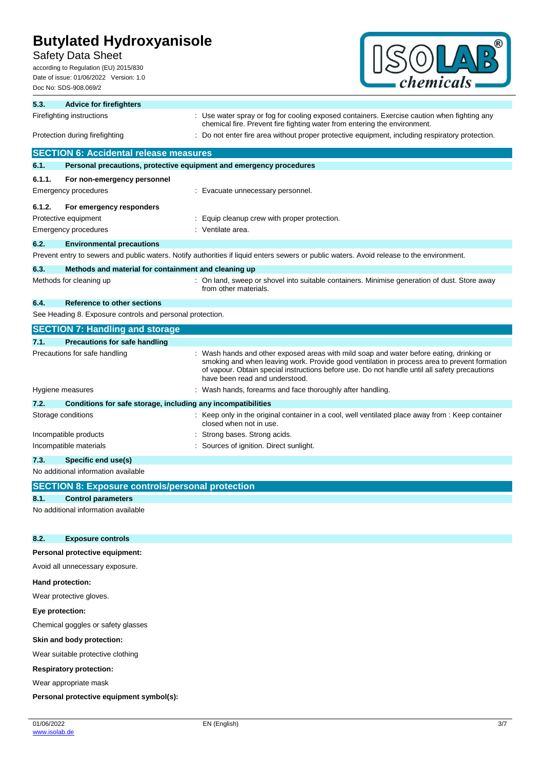Safety Data Sheet

according to Regulation (EU) 2015/830 Date of issue: 01/06/2022 Version: 1.0 Doc No: SDS-908.069/2



| 5.3.                           | <b>Advice for firefighters</b>                                      |                                                                                                                                                                                                                                                                                                                           |  |
|--------------------------------|---------------------------------------------------------------------|---------------------------------------------------------------------------------------------------------------------------------------------------------------------------------------------------------------------------------------------------------------------------------------------------------------------------|--|
|                                | Firefighting instructions                                           | : Use water spray or fog for cooling exposed containers. Exercise caution when fighting any<br>chemical fire. Prevent fire fighting water from entering the environment.                                                                                                                                                  |  |
| Protection during firefighting |                                                                     | : Do not enter fire area without proper protective equipment, including respiratory protection.                                                                                                                                                                                                                           |  |
|                                | <b>SECTION 6: Accidental release measures</b>                       |                                                                                                                                                                                                                                                                                                                           |  |
| 6.1.                           | Personal precautions, protective equipment and emergency procedures |                                                                                                                                                                                                                                                                                                                           |  |
| 6.1.1.                         | For non-emergency personnel                                         |                                                                                                                                                                                                                                                                                                                           |  |
|                                | Emergency procedures                                                | : Evacuate unnecessary personnel.                                                                                                                                                                                                                                                                                         |  |
| 6.1.2.                         | For emergency responders                                            |                                                                                                                                                                                                                                                                                                                           |  |
|                                | Protective equipment                                                | : Equip cleanup crew with proper protection.                                                                                                                                                                                                                                                                              |  |
|                                | Emergency procedures                                                | : Ventilate area.                                                                                                                                                                                                                                                                                                         |  |
| 6.2.                           | <b>Environmental precautions</b>                                    |                                                                                                                                                                                                                                                                                                                           |  |
|                                |                                                                     | Prevent entry to sewers and public waters. Notify authorities if liquid enters sewers or public waters. Avoid release to the environment.                                                                                                                                                                                 |  |
| 6.3.                           | Methods and material for containment and cleaning up                |                                                                                                                                                                                                                                                                                                                           |  |
|                                | Methods for cleaning up                                             | : On land, sweep or shovel into suitable containers. Minimise generation of dust. Store away<br>from other materials.                                                                                                                                                                                                     |  |
| 6.4.                           | Reference to other sections                                         |                                                                                                                                                                                                                                                                                                                           |  |
|                                | See Heading 8. Exposure controls and personal protection.           |                                                                                                                                                                                                                                                                                                                           |  |
|                                | <b>SECTION 7: Handling and storage</b>                              |                                                                                                                                                                                                                                                                                                                           |  |
| 7.1.                           | <b>Precautions for safe handling</b>                                |                                                                                                                                                                                                                                                                                                                           |  |
|                                | Precautions for safe handling                                       | Wash hands and other exposed areas with mild soap and water before eating, drinking or<br>smoking and when leaving work. Provide good ventilation in process area to prevent formation<br>of vapour. Obtain special instructions before use. Do not handle until all safety precautions<br>have been read and understood. |  |
|                                | Hygiene measures                                                    | : Wash hands, forearms and face thoroughly after handling.                                                                                                                                                                                                                                                                |  |
| 7.2.                           | Conditions for safe storage, including any incompatibilities        |                                                                                                                                                                                                                                                                                                                           |  |
|                                | Storage conditions                                                  | : Keep only in the original container in a cool, well ventilated place away from : Keep container<br>closed when not in use.                                                                                                                                                                                              |  |
|                                | Incompatible products                                               | Strong bases. Strong acids.                                                                                                                                                                                                                                                                                               |  |
|                                | Incompatible materials                                              | Sources of ignition. Direct sunlight.                                                                                                                                                                                                                                                                                     |  |
| 7.3.                           | Specific end use(s)                                                 |                                                                                                                                                                                                                                                                                                                           |  |
|                                | No additional information available                                 |                                                                                                                                                                                                                                                                                                                           |  |
|                                | <b>SECTION 8: Exposure controls/personal protection</b>             |                                                                                                                                                                                                                                                                                                                           |  |
| 8.1.                           | <b>Control parameters</b>                                           |                                                                                                                                                                                                                                                                                                                           |  |
|                                | No additional information available                                 |                                                                                                                                                                                                                                                                                                                           |  |
| 8.2.                           | <b>Exposure controls</b>                                            |                                                                                                                                                                                                                                                                                                                           |  |
|                                | Personal protective equipment:                                      |                                                                                                                                                                                                                                                                                                                           |  |
|                                | Avoid all unnecessary exposure.                                     |                                                                                                                                                                                                                                                                                                                           |  |
|                                | Hand protection:                                                    |                                                                                                                                                                                                                                                                                                                           |  |
|                                | Wear protective gloves.                                             |                                                                                                                                                                                                                                                                                                                           |  |
| Eye protection:                |                                                                     |                                                                                                                                                                                                                                                                                                                           |  |
|                                | Chemical goggles or safety glasses                                  |                                                                                                                                                                                                                                                                                                                           |  |
|                                | Skin and body protection:                                           |                                                                                                                                                                                                                                                                                                                           |  |
|                                | Wear suitable protective clothing                                   |                                                                                                                                                                                                                                                                                                                           |  |

**Respiratory protection:**

Wear appropriate mask

**Personal protective equipment symbol(s):**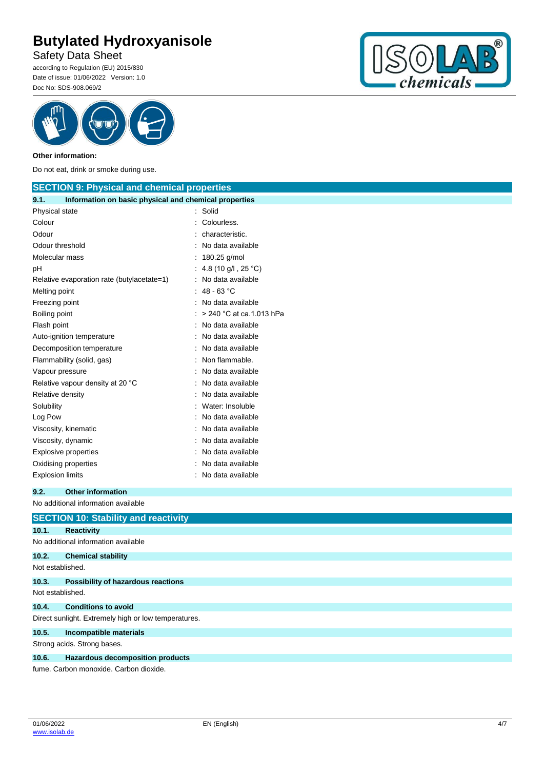Safety Data Sheet

according to Regulation (EU) 2015/830 Date of issue: 01/06/2022 Version: 1.0 Doc No: SDS-908.069/2





## **Other information:**

Do not eat, drink or smoke during use.

| <b>SECTION 9: Physical and chemical properties</b>            |                          |  |
|---------------------------------------------------------------|--------------------------|--|
| 9.1.<br>Information on basic physical and chemical properties |                          |  |
| Physical state                                                | Solid                    |  |
| Colour                                                        | Colourless.              |  |
| Odour                                                         | characteristic.          |  |
| Odour threshold                                               | No data available        |  |
| Molecular mass                                                | 180.25 g/mol             |  |
| рH                                                            | 4.8 (10 g/l, 25 °C)      |  |
| Relative evaporation rate (butylacetate=1)                    | No data available        |  |
| Melting point                                                 | 48 - 63 $^{\circ}$ C     |  |
| Freezing point                                                | No data available        |  |
| Boiling point                                                 | > 240 °C at ca.1.013 hPa |  |
| Flash point                                                   | No data available        |  |
| Auto-ignition temperature                                     | No data available        |  |
| Decomposition temperature                                     | No data available        |  |
| Flammability (solid, gas)                                     | Non flammable.           |  |
| Vapour pressure                                               | No data available        |  |
| Relative vapour density at 20 °C                              | No data available        |  |
| Relative density                                              | No data available        |  |
| Solubility                                                    | Water: Insoluble         |  |
| Log Pow                                                       | No data available        |  |
| Viscosity, kinematic                                          | No data available        |  |
| Viscosity, dynamic                                            | No data available        |  |
| <b>Explosive properties</b>                                   | No data available        |  |
| Oxidising properties                                          | No data available        |  |
| <b>Explosion limits</b>                                       | No data available        |  |
| 9.2.<br><b>Other information</b>                              |                          |  |
| No additional information available                           |                          |  |
| <b>SECTION 10: Stability and reactivity</b>                   |                          |  |
| 10.1.<br><b>Reactivity</b>                                    |                          |  |

| 10. L            | Reacuvily                                            |
|------------------|------------------------------------------------------|
|                  | No additional information available                  |
| 10.2.            | <b>Chemical stability</b>                            |
| Not established. |                                                      |
| 10.3.            | <b>Possibility of hazardous reactions</b>            |
| Not established. |                                                      |
| 10.4.            | <b>Conditions to avoid</b>                           |
|                  | Direct sunlight. Extremely high or low temperatures. |
| 10.5.            | Incompatible materials                               |
|                  | Strong acids. Strong bases.                          |
| 10.6.            | Hazardous decomposition products                     |
|                  | fume. Carbon monoxide. Carbon dioxide.               |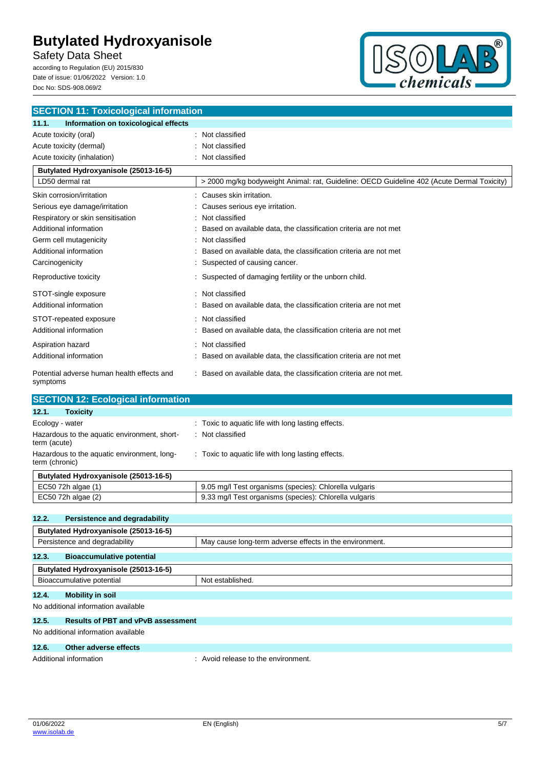Safety Data Sheet

according to Regulation (EU) 2015/830 Date of issue: 01/06/2022 Version: 1.0 Doc No: SDS-908.069/2



| <b>SECTION 11: Toxicological information</b>           |                                                                                            |  |
|--------------------------------------------------------|--------------------------------------------------------------------------------------------|--|
| 11.1.<br>Information on toxicological effects          |                                                                                            |  |
| Acute toxicity (oral)                                  | Not classified                                                                             |  |
| Acute toxicity (dermal)                                | Not classified                                                                             |  |
| Acute toxicity (inhalation)                            | Not classified                                                                             |  |
| Butylated Hydroxyanisole (25013-16-5)                  |                                                                                            |  |
| LD50 dermal rat                                        | > 2000 mg/kg bodyweight Animal: rat, Guideline: OECD Guideline 402 (Acute Dermal Toxicity) |  |
| Skin corrosion/irritation                              | Causes skin irritation.                                                                    |  |
| Serious eye damage/irritation                          | Causes serious eye irritation.                                                             |  |
| Respiratory or skin sensitisation                      | Not classified                                                                             |  |
| Additional information                                 | Based on available data, the classification criteria are not met                           |  |
| Germ cell mutagenicity                                 | Not classified                                                                             |  |
| Additional information                                 | Based on available data, the classification criteria are not met                           |  |
| Carcinogenicity                                        | Suspected of causing cancer.                                                               |  |
| Reproductive toxicity                                  | Suspected of damaging fertility or the unborn child.                                       |  |
| STOT-single exposure                                   | Not classified                                                                             |  |
| Additional information                                 | Based on available data, the classification criteria are not met                           |  |
| STOT-repeated exposure                                 | Not classified                                                                             |  |
| Additional information                                 | Based on available data, the classification criteria are not met                           |  |
| Aspiration hazard                                      | Not classified                                                                             |  |
| Additional information                                 | Based on available data, the classification criteria are not met                           |  |
| Potential adverse human health effects and<br>symptoms | : Based on available data, the classification criteria are not met.                        |  |
| <b>SECTION 12: Ecological information</b>              |                                                                                            |  |
| 12.1.<br><b>Toxicity</b>                               |                                                                                            |  |
| Frology - water                                        | Toxic to aquatic life with long lasting effects                                            |  |

| Ecology - water                                               | : Toxic to aquatic life with long lasting effects.     |
|---------------------------------------------------------------|--------------------------------------------------------|
| Hazardous to the aquatic environment, short-<br>term (acute)  | : Not classified                                       |
| Hazardous to the aquatic environment, long-<br>term (chronic) | : Toxic to aquatic life with long lasting effects.     |
| Butylated Hydroxyanisole (25013-16-5)                         |                                                        |
| EC50 72h algae (1)                                            | 9.05 mg/l Test organisms (species): Chlorella vulgaris |
| EC50 72h algae (2)                                            | 9.33 mg/l Test organisms (species): Chlorella vulgaris |

| 12.2.                                 |                                           |                                                         |  |  |  |  |
|---------------------------------------|-------------------------------------------|---------------------------------------------------------|--|--|--|--|
|                                       | Persistence and degradability             |                                                         |  |  |  |  |
| Butylated Hydroxyanisole (25013-16-5) |                                           |                                                         |  |  |  |  |
| Persistence and degradability         |                                           | May cause long-term adverse effects in the environment. |  |  |  |  |
| 12.3.                                 | <b>Bioaccumulative potential</b>          |                                                         |  |  |  |  |
| Butylated Hydroxyanisole (25013-16-5) |                                           |                                                         |  |  |  |  |
| Bioaccumulative potential             |                                           | Not established.                                        |  |  |  |  |
| 12.4.                                 | <b>Mobility in soil</b>                   |                                                         |  |  |  |  |
| No additional information available   |                                           |                                                         |  |  |  |  |
| 12.5.                                 | <b>Results of PBT and vPvB assessment</b> |                                                         |  |  |  |  |
| No additional information available   |                                           |                                                         |  |  |  |  |

## **12.6. Other adverse effects**

Additional information  $\blacksquare$  : Avoid release to the environment.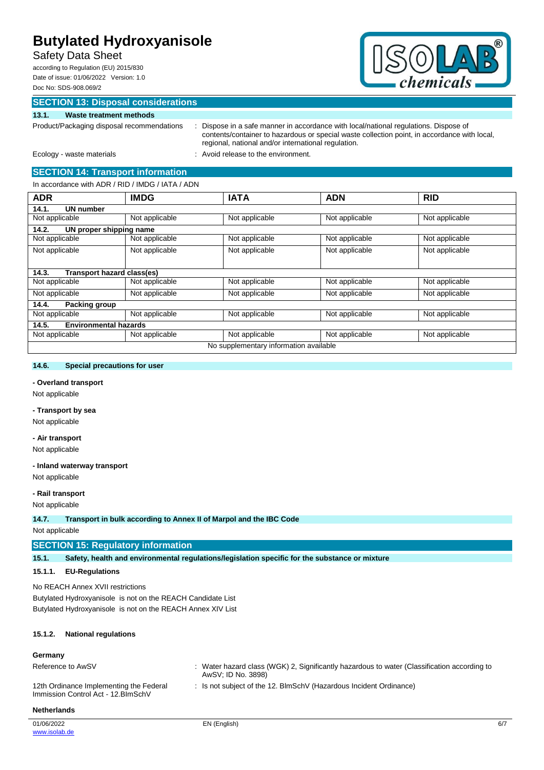# Safety Data Sheet

according to Regulation (EU) 2015/830 Date of issue: 01/06/2022 Version: 1.0 Doc No: SDS-908.069/2



# **SECTION 13: Disposal considerations**

## **13.1. Waste treatment methods**

Product/Packaging disposal recommendations : Dispose in a safe manner in accordance with local/national regulations. Dispose of contents/container to hazardous or special waste collection point, in accordance with local, regional, national and/or international regulation.

Ecology - waste materials **Ecology** - waste materials **interval** : Avoid release to the environment.

## **SECTION 14: Transport information**

In accordance with ADR / RID / IMDG / IATA / ADN

| <b>ADR</b>             | <b>IMDG</b>                  | <b>IATA</b>                            | <b>ADN</b>     | <b>RID</b>     |
|------------------------|------------------------------|----------------------------------------|----------------|----------------|
| UN number<br>14.1.     |                              |                                        |                |                |
| Not applicable         | Not applicable               | Not applicable                         | Not applicable | Not applicable |
| 14.2.                  | UN proper shipping name      |                                        |                |                |
| Not applicable         | Not applicable               | Not applicable                         | Not applicable | Not applicable |
| Not applicable         | Not applicable               | Not applicable                         | Not applicable | Not applicable |
| 14.3.                  | Transport hazard class(es)   |                                        |                |                |
| Not applicable         | Not applicable               | Not applicable                         | Not applicable | Not applicable |
| Not applicable         | Not applicable               | Not applicable                         | Not applicable | Not applicable |
| 14.4.<br>Packing group |                              |                                        |                |                |
| Not applicable         | Not applicable               | Not applicable                         | Not applicable | Not applicable |
| 14.5.                  | <b>Environmental hazards</b> |                                        |                |                |
| Not applicable         | Not applicable               | Not applicable                         | Not applicable | Not applicable |
|                        |                              | No supplementary information available |                |                |

## **14.6. Special precautions for user**

## **- Overland transport**

Not applicable

#### **- Transport by sea**

Not applicable

#### **- Air transport**

Not applicable

## **- Inland waterway transport**

Not applicable

# **- Rail transport**

Not applicable

**14.7. Transport in bulk according to Annex II of Marpol and the IBC Code**

Not applicable

### **SECTION 15: Regulatory information**

**15.1. Safety, health and environmental regulations/legislation specific for the substance or mixture**

### **15.1.1. EU-Regulations**

No REACH Annex XVII restrictions Butylated Hydroxyanisole is not on the REACH Candidate List Butylated Hydroxyanisole is not on the REACH Annex XIV List

## **15.1.2. National regulations**

### **Germany**

Reference to AwSV **:** Water hazard class (WGK) 2, Significantly hazardous to water (Classification according to AwSV; ID No. 3898)

: Is not subject of the 12. BlmSchV (Hazardous Incident Ordinance)

12th Ordinance Implementing the Federal Immission Control Act - 12.BImSchV

**Netherlands**